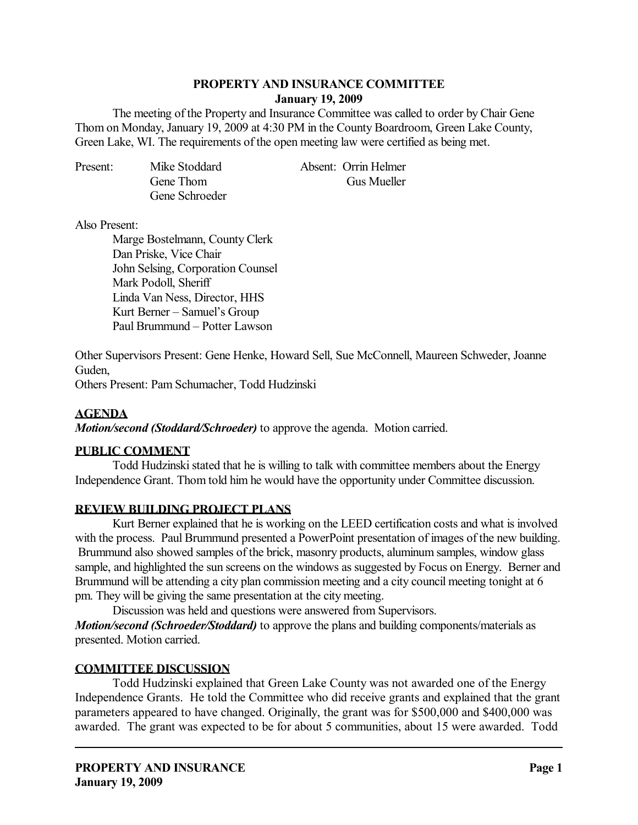#### **PROPERTY AND INSURANCE COMMITTEE January 19, 2009**

 The meeting of the Property and Insurance Committee was called to order by Chair Gene Thom on Monday, January 19, 2009 at 4:30 PM in the County Boardroom, Green Lake County, Green Lake, WI. The requirements of the open meeting law were certified as being met.

| Present: | Mike Stoddard  | Absent: Orrin Helmer |
|----------|----------------|----------------------|
|          | Gene Thom      | Gus Mueller          |
|          | Gene Schroeder |                      |

#### Also Present:

 Marge Bostelmann, County Clerk Dan Priske, Vice Chair John Selsing, Corporation Counsel Mark Podoll, Sheriff Linda Van Ness, Director, HHS Kurt Berner – Samuel's Group Paul Brummund – Potter Lawson

Other Supervisors Present: Gene Henke, Howard Sell, Sue McConnell, Maureen Schweder, Joanne Guden,

Others Present: Pam Schumacher, Todd Hudzinski

## **AGENDA**

*Motion/second (Stoddard/Schroeder)* to approve the agenda. Motion carried.

### **PUBLIC COMMENT**

 Todd Hudzinski stated that he is willing to talk with committee members about the Energy Independence Grant. Thom told him he would have the opportunity under Committee discussion.

### **REVIEW BUILDING PROJECT PLANS**

 Kurt Berner explained that he is working on the LEED certification costs and what is involved with the process. Paul Brummund presented a PowerPoint presentation of images of the new building. Brummund also showed samples of the brick, masonry products, aluminum samples, window glass sample, and highlighted the sun screens on the windows as suggested by Focus on Energy. Berner and Brummund will be attending a city plan commission meeting and a city council meeting tonight at 6 pm. They will be giving the same presentation at the city meeting.

Discussion was held and questions were answered from Supervisors.

*Motion/second (Schroeder/Stoddard)* to approve the plans and building components/materials as presented. Motion carried.

# **COMMITTEE DISCUSSION**

 Todd Hudzinski explained that Green Lake County was not awarded one of the Energy Independence Grants. He told the Committee who did receive grants and explained that the grant parameters appeared to have changed. Originally, the grant was for \$500,000 and \$400,000 was awarded. The grant was expected to be for about 5 communities, about 15 were awarded. Todd